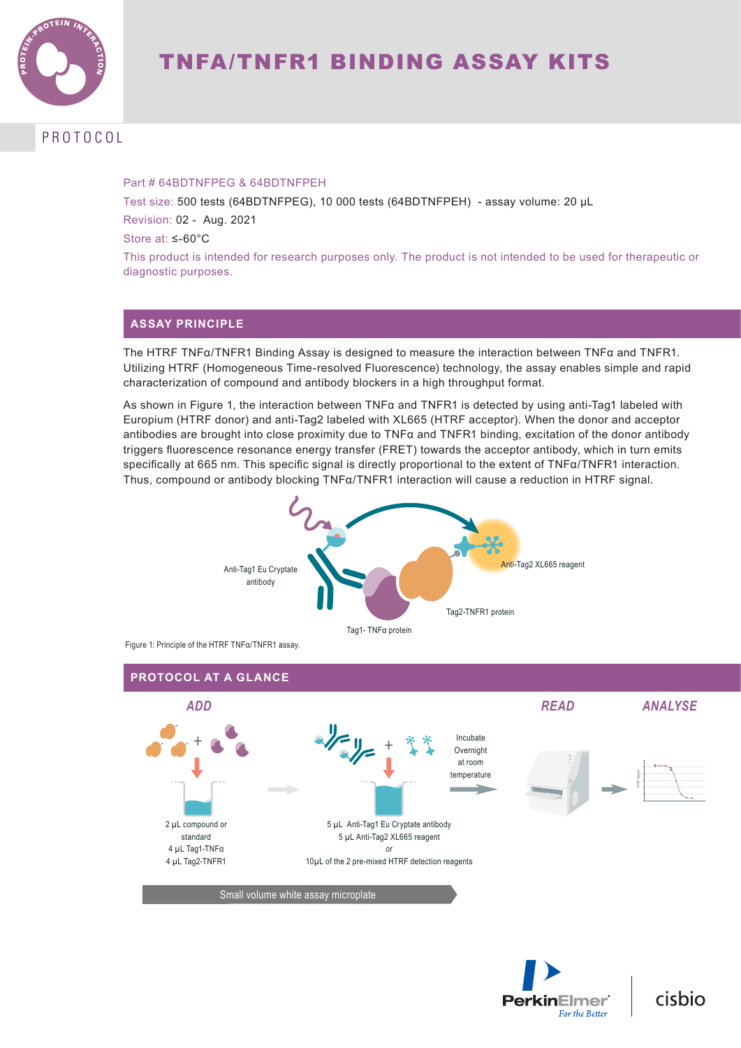

# PROTOCOL

#### Part # 64BDTNFPEG & 64BDTNFPEH

Test size: 500 tests (64BDTNFPEG), 10 000 tests (64BDTNFPEH) - assay volume: 20 µL Revision: 02 - Aug. 2021

Store at: ≤-60°C

This product is intended for research purposes only. The product is not intended to be used for therapeutic or diagnostic purposes.

## **ASSAY PRINCIPLE**

The HTRF TNFα/TNFR1 Binding Assay is designed to measure the interaction between TNFα and TNFR1. Utilizing HTRF (Homogeneous Time-resolved Fluorescence) technology, the assay enables simple and rapid characterization of compound and antibody blockers in a high throughput format.

As shown in Figure 1, the interaction between TNFα and TNFR1 is detected by using anti-Tag1 labeled with Europium (HTRF donor) and anti-Tag2 labeled with XL665 (HTRF acceptor). When the donor and acceptor antibodies are brought into close proximity due to TNFα and TNFR1 binding, excitation of the donor antibody triggers fluorescence resonance energy transfer (FRET) towards the acceptor antibody, which in turn emits specifically at 665 nm. This specific signal is directly proportional to the extent of TNFα/TNFR1 interaction. Thus, compound or antibody blocking TNFα/TNFR1 interaction will cause a reduction in HTRF signal.



Figure 1: Principle of the HTRF TNFq/TNFR1 assay.





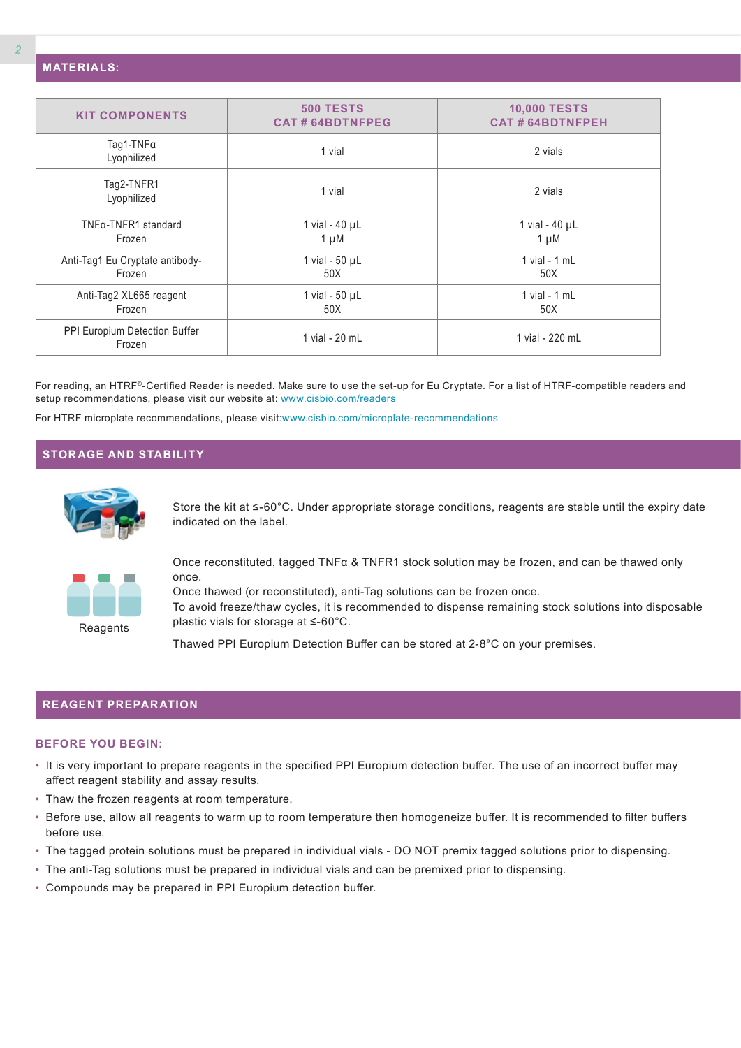| <b>KIT COMPONENTS</b>                     | <b>500 TESTS</b><br><b>CAT#64BDTNFPEG</b> | <b>10,000 TESTS</b><br><b>CAT#64BDTNFPEH</b> |  |  |
|-------------------------------------------|-------------------------------------------|----------------------------------------------|--|--|
| Tag1-TNFa<br>Lyophilized                  | 1 vial                                    | 2 vials                                      |  |  |
| Tag2-TNFR1<br>Lyophilized                 | 1 vial                                    | 2 vials                                      |  |  |
| TNFα-TNFR1 standard<br>Frozen             | 1 vial - $40 \mu L$<br>$1 \mu M$          | 1 vial - $40 \mu L$<br>$1 \mu M$             |  |  |
| Anti-Tag1 Eu Cryptate antibody-<br>Frozen | 1 vial - $50 \mu L$<br>50X                | 1 vial - $1$ mL<br>50X                       |  |  |
| Anti-Tag2 XL665 reagent<br>Frozen         | 1 vial - $50 \mu L$<br>50X                | 1 vial - $1$ mL<br>50X                       |  |  |
| PPI Europium Detection Buffer<br>Frozen   | 1 vial - 20 mL                            | 1 vial - 220 mL                              |  |  |
|                                           |                                           |                                              |  |  |

For reading, an HTRF®-Certified Reader is needed. Make sure to use the set-up for Eu Cryptate. For a list of HTRF-compatible readers and setup recommendations, please visit our website at: www.cisbio.com/readers

For HTRF microplate recommendations, please visit:www.cisbio.com/microplate-recommendations

## **STORAGE AND STABILITY**



Store the kit at ≤-60°C. Under appropriate storage conditions, reagents are stable until the expiry date indicated on the label.



**Reagents** 

Once reconstituted, tagged TNFα & TNFR1 stock solution may be frozen, and can be thawed only once.

Once thawed (or reconstituted), anti-Tag solutions can be frozen once. To avoid freeze/thaw cycles, it is recommended to dispense remaining stock solutions into disposable plastic vials for storage at ≤-60°C.

Thawed PPI Europium Detection Buffer can be stored at 2-8°C on your premises.

#### **REAGENT PREPARATION**

#### **BEFORE YOU BEGIN:**

- It is very important to prepare reagents in the specified PPI Europium detection buffer. The use of an incorrect buffer may affect reagent stability and assay results.
- Thaw the frozen reagents at room temperature.
- Before use, allow all reagents to warm up to room temperature then homogeneize buffer. It is recommended to filter buffers before use.
- The tagged protein solutions must be prepared in individual vials DO NOT premix tagged solutions prior to dispensing.
- The anti-Tag solutions must be prepared in individual vials and can be premixed prior to dispensing.
- Compounds may be prepared in PPI Europium detection buffer.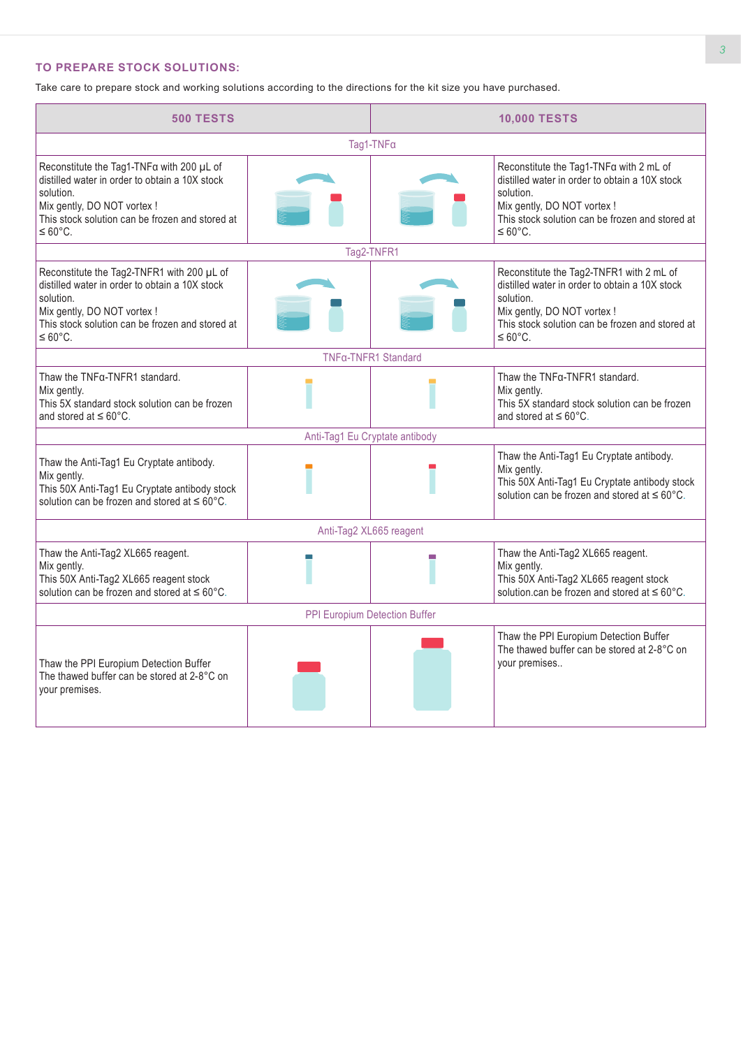## **TO PREPARE STOCK SOLUTIONS:**

Take care to prepare stock and working solutions according to the directions for the kit size you have purchased.

| <b>500 TESTS</b>                                                                                                                                                                                                    |  | <b>10,000 TESTS</b>     |                                                                                                                                                                                                                   |  |  |  |
|---------------------------------------------------------------------------------------------------------------------------------------------------------------------------------------------------------------------|--|-------------------------|-------------------------------------------------------------------------------------------------------------------------------------------------------------------------------------------------------------------|--|--|--|
| Tag1-TNFa                                                                                                                                                                                                           |  |                         |                                                                                                                                                                                                                   |  |  |  |
| Reconstitute the Tag1-TNFa with 200 µL of<br>distilled water in order to obtain a 10X stock<br>solution.<br>Mix gently, DO NOT vortex !<br>This stock solution can be frozen and stored at<br>$\leq 60^{\circ}$ C.  |  |                         | Reconstitute the Tag1-TNFa with 2 mL of<br>distilled water in order to obtain a 10X stock<br>solution.<br>Mix gently, DO NOT vortex !<br>This stock solution can be frozen and stored at<br>$\leq 60^{\circ}$ C.  |  |  |  |
|                                                                                                                                                                                                                     |  | Tag2-TNFR1              |                                                                                                                                                                                                                   |  |  |  |
| Reconstitute the Tag2-TNFR1 with 200 µL of<br>distilled water in order to obtain a 10X stock<br>solution.<br>Mix gently, DO NOT vortex !<br>This stock solution can be frozen and stored at<br>$\leq 60^{\circ}$ C. |  |                         | Reconstitute the Tag2-TNFR1 with 2 mL of<br>distilled water in order to obtain a 10X stock<br>solution.<br>Mix gently, DO NOT vortex !<br>This stock solution can be frozen and stored at<br>$\leq 60^{\circ}$ C. |  |  |  |
|                                                                                                                                                                                                                     |  | TNFa-TNFR1 Standard     |                                                                                                                                                                                                                   |  |  |  |
| Thaw the TNFa-TNFR1 standard.<br>Mix gently.<br>This 5X standard stock solution can be frozen<br>and stored at $\leq 60^{\circ}$ C.                                                                                 |  |                         | Thaw the TNFa-TNFR1 standard.<br>Mix gently.<br>This 5X standard stock solution can be frozen<br>and stored at $\leq 60^{\circ}$ C.                                                                               |  |  |  |
| Anti-Tag1 Eu Cryptate antibody                                                                                                                                                                                      |  |                         |                                                                                                                                                                                                                   |  |  |  |
| Thaw the Anti-Tag1 Eu Cryptate antibody.<br>Mix gently.<br>This 50X Anti-Tag1 Eu Cryptate antibody stock<br>solution can be frozen and stored at $\leq 60^{\circ}$ C.                                               |  |                         | Thaw the Anti-Tag1 Eu Cryptate antibody.<br>Mix gently.<br>This 50X Anti-Tag1 Eu Cryptate antibody stock<br>solution can be frozen and stored at $\leq 60^{\circ}$ C.                                             |  |  |  |
|                                                                                                                                                                                                                     |  | Anti-Tag2 XL665 reagent |                                                                                                                                                                                                                   |  |  |  |
| Thaw the Anti-Tag2 XL665 reagent.<br>Mix gently.<br>This 50X Anti-Tag2 XL665 reagent stock<br>solution can be frozen and stored at $\leq 60^{\circ}$ C.                                                             |  |                         | Thaw the Anti-Tag2 XL665 reagent.<br>Mix gently.<br>This 50X Anti-Tag2 XL665 reagent stock<br>solution.can be frozen and stored at $\leq 60^{\circ}$ C.                                                           |  |  |  |
| PPI Europium Detection Buffer                                                                                                                                                                                       |  |                         |                                                                                                                                                                                                                   |  |  |  |
| Thaw the PPI Europium Detection Buffer<br>The thawed buffer can be stored at 2-8°C on<br>your premises.                                                                                                             |  |                         | Thaw the PPI Europium Detection Buffer<br>The thawed buffer can be stored at 2-8°C on<br>your premises                                                                                                            |  |  |  |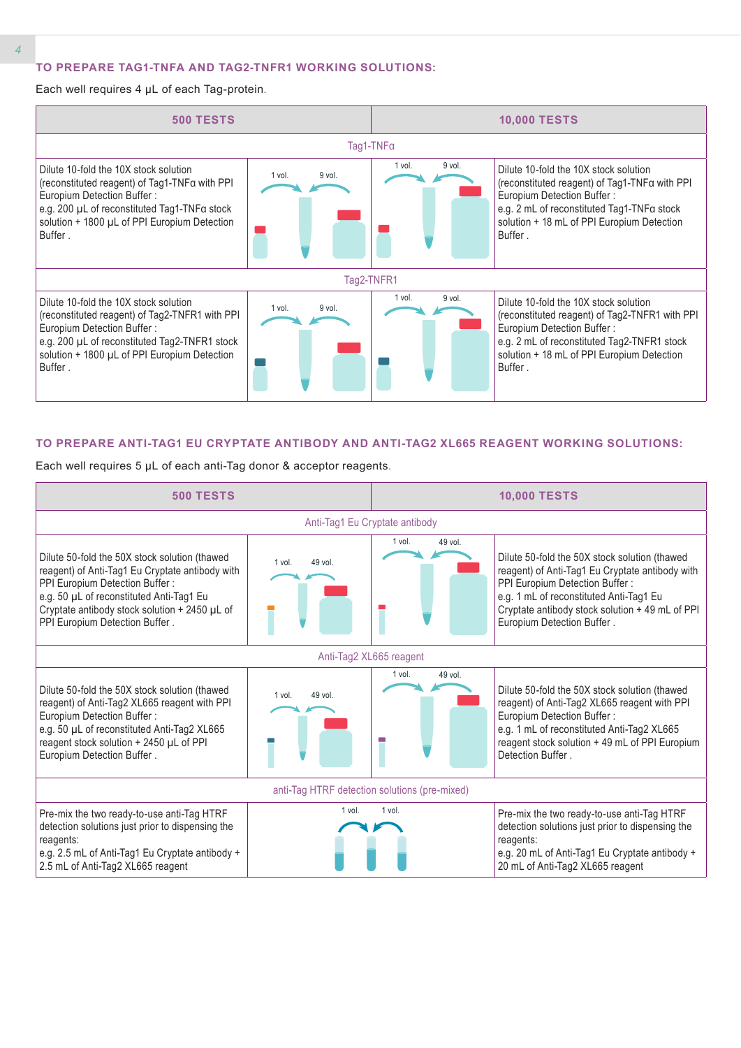#### **TO PREPARE TAG1-TNFΑ AND TAG2-TNFR1 WORKING SOLUTIONS:**

Each well requires 4 µL of each Tag-protein.



#### **TO PREPARE ANTI-TAG1 EU CRYPTATE ANTIBODY AND ANTI-TAG2 XL665 REAGENT WORKING SOLUTIONS:**

Each well requires 5 µL of each anti-Tag donor & acceptor reagents.

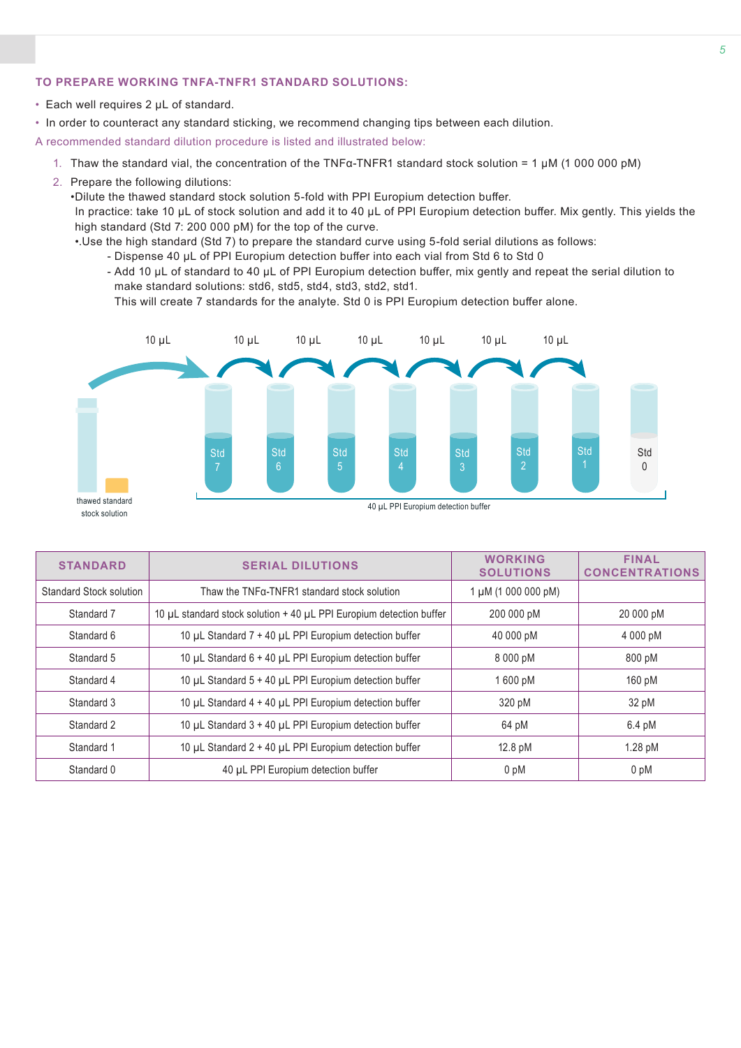### **TO PREPARE WORKING TNFΑ-TNFR1 STANDARD SOLUTIONS:**

- Each well requires 2 µL of standard.
- In order to counteract any standard sticking, we recommend changing tips between each dilution.

A recommended standard dilution procedure is listed and illustrated below:

- 1. Thaw the standard vial, the concentration of the TNFα-TNFR1 standard stock solution = 1 µM (1 000 000 pM)
- 2. Prepare the following dilutions:

•Dilute the thawed standard stock solution 5-fold with PPI Europium detection buffer.

In practice: take 10 µL of stock solution and add it to 40 µL of PPI Europium detection buffer. Mix gently. This yields the high standard (Std 7: 200 000 pM) for the top of the curve.

- •.Use the high standard (Std 7) to prepare the standard curve using 5-fold serial dilutions as follows:
	- Dispense 40 µL of PPI Europium detection buffer into each vial from Std 6 to Std 0
	- Add 10 µL of standard to 40 µL of PPI Europium detection buffer, mix gently and repeat the serial dilution to make standard solutions: std6, std5, std4, std3, std2, std1.

This will create 7 standards for the analyte. Std 0 is PPI Europium detection buffer alone.



|                                                                                   | <b>STANDARD</b> | <b>SERIAL DILUTIONS</b> | <b>WORKING</b><br><b>SOLUTIONS</b> | <b>FINAL</b><br><b>CONCENTRATIONS</b> |
|-----------------------------------------------------------------------------------|-----------------|-------------------------|------------------------------------|---------------------------------------|
| Standard Stock solution<br>Thaw the TNFq-TNFR1 standard stock solution            |                 | 1 µM (1 000 000 pM)     |                                    |                                       |
| 10 µL standard stock solution + 40 µL PPI Europium detection buffer<br>Standard 7 |                 |                         | 200 000 pM                         | 20 000 pM                             |
| 10 µL Standard 7 + 40 µL PPI Europium detection buffer<br>Standard 6              |                 | 40 000 pM               | 4 000 pM                           |                                       |
| 10 µL Standard 6 + 40 µL PPI Europium detection buffer<br>Standard 5              |                 | 8 000 pM                | 800 pM                             |                                       |
| 10 µL Standard 5 + 40 µL PPI Europium detection buffer<br>Standard 4              |                 | 1600 pM                 | 160 pM                             |                                       |
| 10 µL Standard 4 + 40 µL PPI Europium detection buffer<br>Standard 3              |                 | 320 pM                  | 32 pM                              |                                       |
| 10 µL Standard 3 + 40 µL PPI Europium detection buffer<br>Standard 2              |                 | 64 pM                   | $6.4 \text{ pM}$                   |                                       |
| 10 µL Standard 2 + 40 µL PPI Europium detection buffer<br>Standard 1              |                 | 12.8 pM                 | 1.28 pM                            |                                       |
| Standard 0<br>40 µL PPI Europium detection buffer                                 |                 | 0 pM                    | 0 <sub>pM</sub>                    |                                       |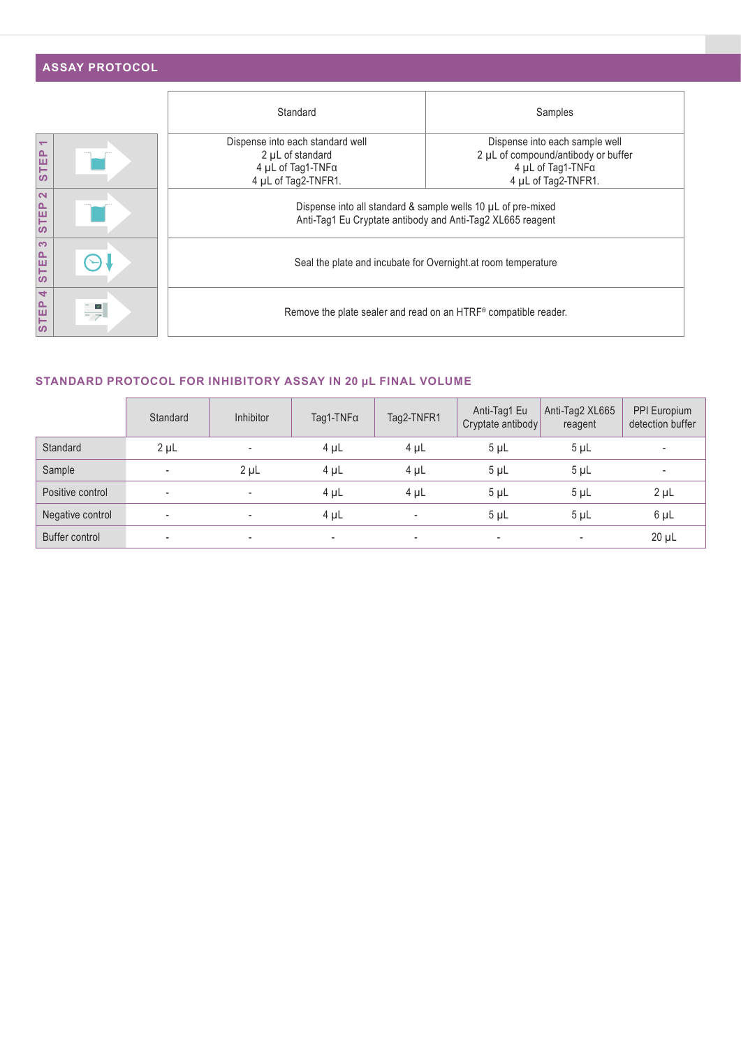|                                         | <b>ASSAY PROTOCOL</b> |                                                                                                                            |                                                                                                                   |  |  |  |
|-----------------------------------------|-----------------------|----------------------------------------------------------------------------------------------------------------------------|-------------------------------------------------------------------------------------------------------------------|--|--|--|
|                                         |                       | Standard                                                                                                                   | Samples                                                                                                           |  |  |  |
| $\overline{\phantom{0}}$<br><b>STEP</b> |                       | Dispense into each standard well<br>2 µL of standard<br>4 µL of Tag1-TNFa<br>4 µL of Tag2-TNFR1.                           | Dispense into each sample well<br>2 µL of compound/antibody or buffer<br>4 µL of Tag1-TNFa<br>4 µL of Tag2-TNFR1. |  |  |  |
| $\mathbf{\Omega}$<br><b>STEP</b>        |                       | Dispense into all standard & sample wells 10 µL of pre-mixed<br>Anti-Tag1 Eu Cryptate antibody and Anti-Tag2 XL665 reagent |                                                                                                                   |  |  |  |
| က<br><b>STEP</b>                        |                       | Seal the plate and incubate for Overnight at room temperature                                                              |                                                                                                                   |  |  |  |
| STEP <sub>4</sub>                       | $\frac{1}{\sqrt{2}}$  | Remove the plate sealer and read on an HTRF® compatible reader.                                                            |                                                                                                                   |  |  |  |

## **STANDARD PROTOCOL FOR INHIBITORY ASSAY IN 20 μL FINAL VOLUME**

|                  | Standard                 | <b>Inhibitor</b>         | $Taq1-TNFα$              | Tag2-TNFR1               | Anti-Tag1 Eu<br>Cryptate antibody | Anti-Tag2 XL665<br>reagent | PPI Europium<br>detection buffer |
|------------------|--------------------------|--------------------------|--------------------------|--------------------------|-----------------------------------|----------------------------|----------------------------------|
| Standard         | $2 \mu L$                | $\overline{\phantom{a}}$ | 4 µL                     | $4 \mu L$                | $5 \mu L$                         | $5 \mu L$                  | $\overline{\phantom{a}}$         |
| Sample           | $\overline{\phantom{a}}$ | $2 \mu L$                | 4 µL                     | $4 \mu L$                | $5 \mu L$                         | $5 \mu L$                  | $\overline{\phantom{a}}$         |
| Positive control | $\overline{\phantom{a}}$ | $\overline{\phantom{a}}$ | 4 µL                     | $4 \mu L$                | $5 \mu L$                         | $5 \mu L$                  | $2 \mu L$                        |
| Negative control | $\sim$                   |                          | 4 µL                     | $\overline{\phantom{a}}$ | $5 \mu L$                         | $5 \mu L$                  | $6 \mu L$                        |
| Buffer control   | $\sim$                   | $\overline{\phantom{a}}$ | $\overline{\phantom{a}}$ | $\overline{\phantom{a}}$ | $\overline{\phantom{a}}$          |                            | $20 \mu L$                       |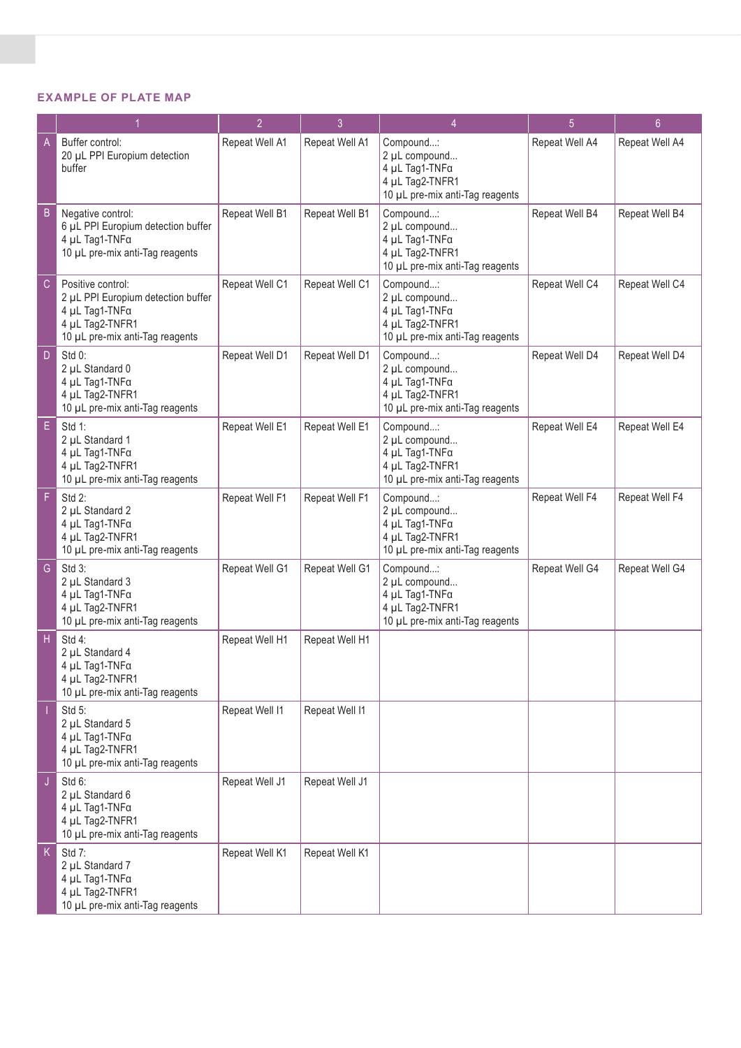### **EXAMPLE OF PLATE MAP**

|    |                                                                                                                                 | $\overline{2}$ | $\overline{3}$ | 4                                                                                                  | 5              | $6\overline{6}$ |
|----|---------------------------------------------------------------------------------------------------------------------------------|----------------|----------------|----------------------------------------------------------------------------------------------------|----------------|-----------------|
| A  | Buffer control:<br>20 µL PPI Europium detection<br>buffer                                                                       | Repeat Well A1 | Repeat Well A1 | Compound:<br>2 µL compound<br>4 μL Tag1-TNFα<br>4 µL Tag2-TNFR1<br>10 µL pre-mix anti-Tag reagents | Repeat Well A4 | Repeat Well A4  |
| B  | Negative control:<br>6 µL PPI Europium detection buffer<br>4 μL Tag1-TNFα<br>10 µL pre-mix anti-Tag reagents                    | Repeat Well B1 | Repeat Well B1 | Compound:<br>2 µL compound<br>4 µL Tag1-TNFa<br>4 µL Tag2-TNFR1<br>10 µL pre-mix anti-Tag reagents | Repeat Well B4 | Repeat Well B4  |
| C  | Positive control:<br>2 µL PPI Europium detection buffer<br>4 µL Tag1-TNFa<br>4 µL Tag2-TNFR1<br>10 µL pre-mix anti-Tag reagents | Repeat Well C1 | Repeat Well C1 | Compound:<br>2 µL compound<br>4 μL Tag1-TNFα<br>4 µL Tag2-TNFR1<br>10 µL pre-mix anti-Tag reagents | Repeat Well C4 | Repeat Well C4  |
| D  | Std 0:<br>2 µL Standard 0<br>4 µL Tag1-TNFa<br>4 µL Tag2-TNFR1<br>10 µL pre-mix anti-Tag reagents                               | Repeat Well D1 | Repeat Well D1 | Compound:<br>2 µL compound<br>4 μL Tag1-TNFα<br>4 µL Tag2-TNFR1<br>10 µL pre-mix anti-Tag reagents | Repeat Well D4 | Repeat Well D4  |
| E. | Std 1:<br>2 µL Standard 1<br>4 µL Tag1-TNFa<br>4 µL Tag2-TNFR1<br>10 µL pre-mix anti-Tag reagents                               | Repeat Well E1 | Repeat Well E1 | Compound:<br>2 µL compound<br>4 μL Tag1-TNFα<br>4 µL Tag2-TNFR1<br>10 µL pre-mix anti-Tag reagents | Repeat Well E4 | Repeat Well E4  |
| F  | Std 2:<br>2 µL Standard 2<br>4 µL Tag1-TNFa<br>4 µL Tag2-TNFR1<br>10 µL pre-mix anti-Tag reagents                               | Repeat Well F1 | Repeat Well F1 | Compound:<br>2 µL compound<br>4 μL Tag1-TNFα<br>4 µL Tag2-TNFR1<br>10 µL pre-mix anti-Tag reagents | Repeat Well F4 | Repeat Well F4  |
| G  | Std 3:<br>2 µL Standard 3<br>4 µL Tag1-TNFa<br>4 µL Tag2-TNFR1<br>10 µL pre-mix anti-Tag reagents                               | Repeat Well G1 | Repeat Well G1 | Compound:<br>2 µL compound<br>4 µL Tag1-TNFa<br>4 µL Tag2-TNFR1<br>10 µL pre-mix anti-Tag reagents | Repeat Well G4 | Repeat Well G4  |
| н  | Std 4:<br>2 µL Standard 4<br>4 μL Tag1-TNFα<br>4 µL Tag2-TNFR1<br>10 µL pre-mix anti-Tag reagents                               | Repeat Well H1 | Repeat Well H1 |                                                                                                    |                |                 |
|    | Std 5:<br>2 µL Standard 5<br>4 µL Tag1-TNFa<br>4 µL Tag2-TNFR1<br>10 µL pre-mix anti-Tag reagents                               | Repeat Well I1 | Repeat Well I1 |                                                                                                    |                |                 |
| J  | Std 6:<br>2 µL Standard 6<br>4 µL Tag1-TNFa<br>4 µL Tag2-TNFR1<br>10 µL pre-mix anti-Tag reagents                               | Repeat Well J1 | Repeat Well J1 |                                                                                                    |                |                 |
| K. | Std 7:<br>2 µL Standard 7<br>4 µL Tag1-TNFa<br>4 µL Tag2-TNFR1<br>10 µL pre-mix anti-Tag reagents                               | Repeat Well K1 | Repeat Well K1 |                                                                                                    |                |                 |